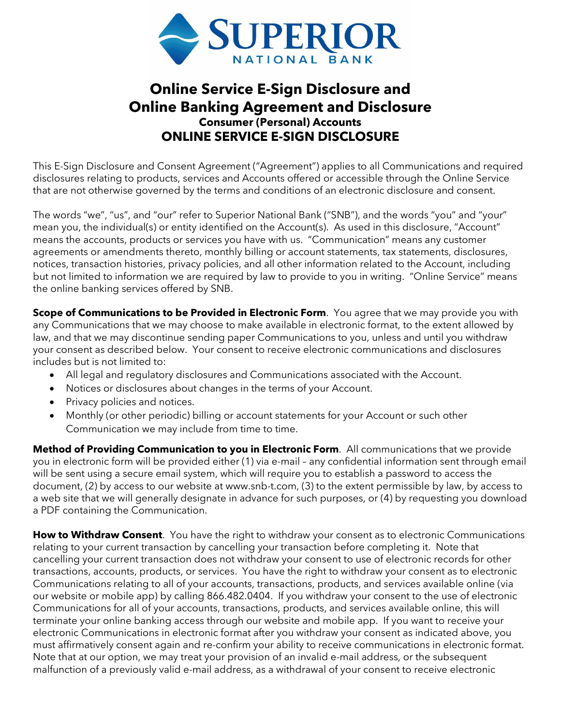

# **Online Service E-Sign Disclosure and Online Banking Agreement and Disclosure Consumer (Personal) Accounts ONLINE SERVICE E-SIGN DISCLOSURE**

This E-Sign Disclosure and Consent Agreement ("Agreement") applies to all Communications and required disclosures relating to products, services and Accounts offered or accessible through the Online Service that are not otherwise governed by the terms and conditions of an electronic disclosure and consent.

The words "we", "us", and "our" refer to Superior National Bank ("SNB"), and the words "you" and "your" mean you, the individual(s) or entity identified on the Account(s). As used in this disclosure, "Account" means the accounts, products or services you have with us. "Communication" means any customer agreements or amendments thereto, monthly billing or account statements, tax statements, disclosures, notices, transaction histories, privacy policies, and all other information related to the Account, including but not limited to information we are required by law to provide to you in writing. "Online Service" means the online banking services offered by SNB.

**Scope of Communications to be Provided in Electronic Form**. You agree that we may provide you with any Communications that we may choose to make available in electronic format, to the extent allowed by law, and that we may discontinue sending paper Communications to you, unless and until you withdraw your consent as described below. Your consent to receive electronic communications and disclosures includes but is not limited to:

- All legal and regulatory disclosures and Communications associated with the Account.
- Notices or disclosures about changes in the terms of your Account.
- Privacy policies and notices.
- Monthly (or other periodic) billing or account statements for your Account or such other Communication we may include from time to time.

**Method of Providing Communication to you in Electronic Form**. All communications that we provide you in electronic form will be provided either (1) via e-mail – any confidential information sent through email will be sent using a secure email system, which will require you to establish a password to access the document, (2) by access to our website at www.snb-t.com, (3) to the extent permissible by law, by access to a web site that we will generally designate in advance for such purposes, or (4) by requesting you download a PDF containing the Communication.

**How to Withdraw Consent**. You have the right to withdraw your consent as to electronic Communications relating to your current transaction by cancelling your transaction before completing it. Note that cancelling your current transaction does not withdraw your consent to use of electronic records for other transactions, accounts, products, or services. You have the right to withdraw your consent as to electronic Communications relating to all of your accounts, transactions, products, and services available online (via our website or mobile app) by calling 866.482.0404. If you withdraw your consent to the use of electronic Communications for all of your accounts, transactions, products, and services available online, this will terminate your online banking access through our website and mobile app. If you want to receive your electronic Communications in electronic format after you withdraw your consent as indicated above, you must affirmatively consent again and re-confirm your ability to receive communications in electronic format. Note that at our option, we may treat your provision of an invalid e-mail address, or the subsequent malfunction of a previously valid e-mail address, as a withdrawal of your consent to receive electronic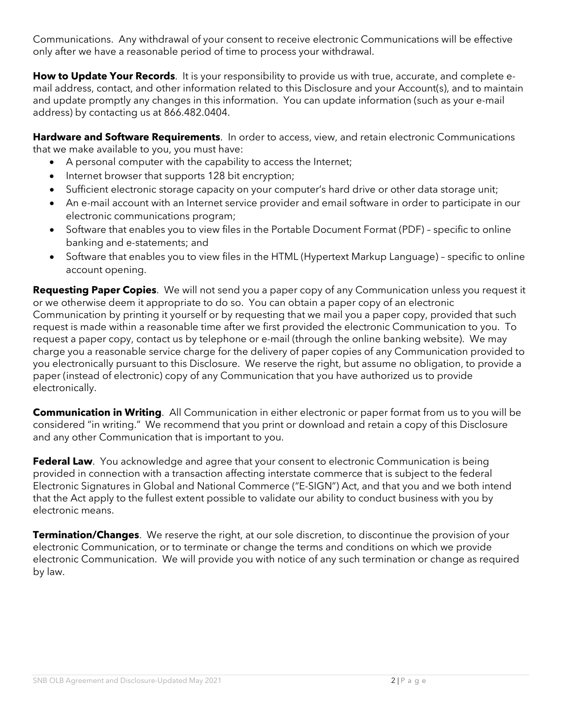Communications. Any withdrawal of your consent to receive electronic Communications will be effective only after we have a reasonable period of time to process your withdrawal.

**How to Update Your Records**. It is your responsibility to provide us with true, accurate, and complete email address, contact, and other information related to this Disclosure and your Account(s), and to maintain and update promptly any changes in this information. You can update information (such as your e-mail address) by contacting us at 866.482.0404.

**Hardware and Software Requirements**. In order to access, view, and retain electronic Communications that we make available to you, you must have:

- A personal computer with the capability to access the Internet;
- Internet browser that supports 128 bit encryption;
- Sufficient electronic storage capacity on your computer's hard drive or other data storage unit;
- An e-mail account with an Internet service provider and email software in order to participate in our electronic communications program;
- Software that enables you to view files in the Portable Document Format (PDF) specific to online banking and e-statements; and
- Software that enables you to view files in the HTML (Hypertext Markup Language) specific to online account opening.

**Requesting Paper Copies**. We will not send you a paper copy of any Communication unless you request it or we otherwise deem it appropriate to do so. You can obtain a paper copy of an electronic Communication by printing it yourself or by requesting that we mail you a paper copy, provided that such request is made within a reasonable time after we first provided the electronic Communication to you. To request a paper copy, contact us by telephone or e-mail (through the online banking website). We may charge you a reasonable service charge for the delivery of paper copies of any Communication provided to you electronically pursuant to this Disclosure. We reserve the right, but assume no obligation, to provide a paper (instead of electronic) copy of any Communication that you have authorized us to provide electronically.

**Communication in Writing**. All Communication in either electronic or paper format from us to you will be considered "in writing." We recommend that you print or download and retain a copy of this Disclosure and any other Communication that is important to you.

**Federal Law**. You acknowledge and agree that your consent to electronic Communication is being provided in connection with a transaction affecting interstate commerce that is subject to the federal Electronic Signatures in Global and National Commerce ("E-SIGN") Act, and that you and we both intend that the Act apply to the fullest extent possible to validate our ability to conduct business with you by electronic means.

**Termination/Changes**. We reserve the right, at our sole discretion, to discontinue the provision of your electronic Communication, or to terminate or change the terms and conditions on which we provide electronic Communication. We will provide you with notice of any such termination or change as required by law.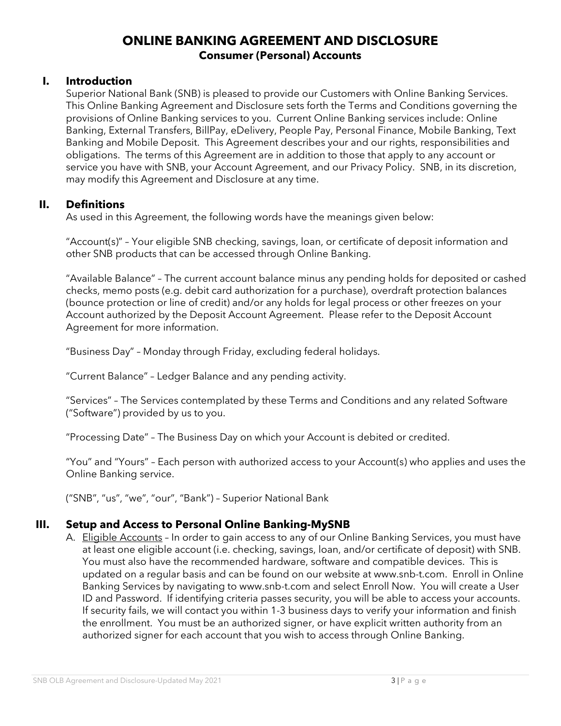# **ONLINE BANKING AGREEMENT AND DISCLOSURE Consumer (Personal) Accounts**

#### **I. Introduction**

Superior National Bank (SNB) is pleased to provide our Customers with Online Banking Services. This Online Banking Agreement and Disclosure sets forth the Terms and Conditions governing the provisions of Online Banking services to you. Current Online Banking services include: Online Banking, External Transfers, BillPay, eDelivery, People Pay, Personal Finance, Mobile Banking, Text Banking and Mobile Deposit. This Agreement describes your and our rights, responsibilities and obligations. The terms of this Agreement are in addition to those that apply to any account or service you have with SNB, your Account Agreement, and our Privacy Policy. SNB, in its discretion, may modify this Agreement and Disclosure at any time.

#### **II. Definitions**

As used in this Agreement, the following words have the meanings given below:

"Account(s)" – Your eligible SNB checking, savings, loan, or certificate of deposit information and other SNB products that can be accessed through Online Banking.

"Available Balance" – The current account balance minus any pending holds for deposited or cashed checks, memo posts (e.g. debit card authorization for a purchase), overdraft protection balances (bounce protection or line of credit) and/or any holds for legal process or other freezes on your Account authorized by the Deposit Account Agreement. Please refer to the Deposit Account Agreement for more information.

"Business Day" – Monday through Friday, excluding federal holidays.

"Current Balance" – Ledger Balance and any pending activity.

"Services" – The Services contemplated by these Terms and Conditions and any related Software ("Software") provided by us to you.

"Processing Date" – The Business Day on which your Account is debited or credited.

"You" and "Yours" – Each person with authorized access to your Account(s) who applies and uses the Online Banking service.

("SNB", "us", "we", "our", "Bank") – Superior National Bank

### **III. Setup and Access to Personal Online Banking-MySNB**

A. Eligible Accounts - In order to gain access to any of our Online Banking Services, you must have at least one eligible account (i.e. checking, savings, loan, and/or certificate of deposit) with SNB. You must also have the recommended hardware, software and compatible devices. This is updated on a regular basis and can be found on our website at www.snb-t.com. Enroll in Online Banking Services by navigating to www.snb-t.com and select Enroll Now. You will create a User ID and Password. If identifying criteria passes security, you will be able to access your accounts. If security fails, we will contact you within 1-3 business days to verify your information and finish the enrollment. You must be an authorized signer, or have explicit written authority from an authorized signer for each account that you wish to access through Online Banking.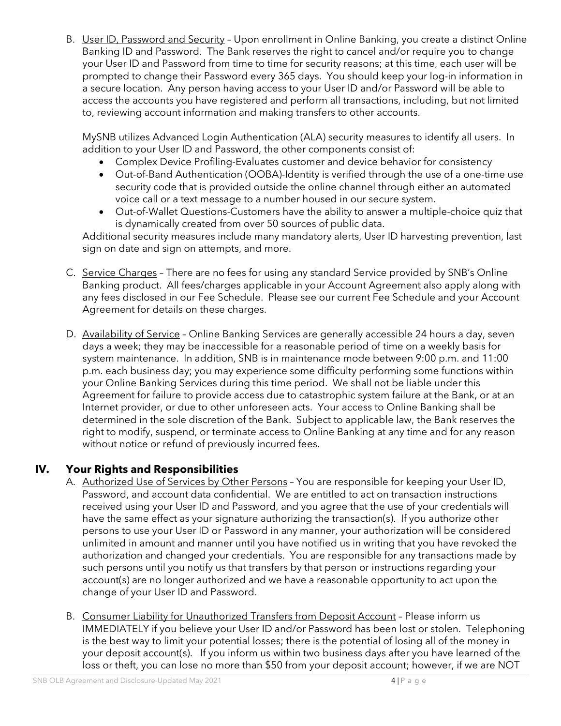B. User ID, Password and Security - Upon enrollment in Online Banking, you create a distinct Online Banking ID and Password. The Bank reserves the right to cancel and/or require you to change your User ID and Password from time to time for security reasons; at this time, each user will be prompted to change their Password every 365 days. You should keep your log-in information in a secure location. Any person having access to your User ID and/or Password will be able to access the accounts you have registered and perform all transactions, including, but not limited to, reviewing account information and making transfers to other accounts.

MySNB utilizes Advanced Login Authentication (ALA) security measures to identify all users. In addition to your User ID and Password, the other components consist of:

- Complex Device Profiling-Evaluates customer and device behavior for consistency
- Out-of-Band Authentication (OOBA)-Identity is verified through the use of a one-time use security code that is provided outside the online channel through either an automated voice call or a text message to a number housed in our secure system.
- Out-of-Wallet Questions-Customers have the ability to answer a multiple-choice quiz that is dynamically created from over 50 sources of public data.

Additional security measures include many mandatory alerts, User ID harvesting prevention, last sign on date and sign on attempts, and more.

- C. Service Charges There are no fees for using any standard Service provided by SNB's Online Banking product. All fees/charges applicable in your Account Agreement also apply along with any fees disclosed in our Fee Schedule. Please see our current Fee Schedule and your Account Agreement for details on these charges.
- D. Availability of Service Online Banking Services are generally accessible 24 hours a day, seven days a week; they may be inaccessible for a reasonable period of time on a weekly basis for system maintenance. In addition, SNB is in maintenance mode between 9:00 p.m. and 11:00 p.m. each business day; you may experience some difficulty performing some functions within your Online Banking Services during this time period. We shall not be liable under this Agreement for failure to provide access due to catastrophic system failure at the Bank, or at an Internet provider, or due to other unforeseen acts. Your access to Online Banking shall be determined in the sole discretion of the Bank. Subject to applicable law, the Bank reserves the right to modify, suspend, or terminate access to Online Banking at any time and for any reason without notice or refund of previously incurred fees.

# **IV. Your Rights and Responsibilities**

- A. Authorized Use of Services by Other Persons You are responsible for keeping your User ID, Password, and account data confidential. We are entitled to act on transaction instructions received using your User ID and Password, and you agree that the use of your credentials will have the same effect as your signature authorizing the transaction(s). If you authorize other persons to use your User ID or Password in any manner, your authorization will be considered unlimited in amount and manner until you have notified us in writing that you have revoked the authorization and changed your credentials. You are responsible for any transactions made by such persons until you notify us that transfers by that person or instructions regarding your account(s) are no longer authorized and we have a reasonable opportunity to act upon the change of your User ID and Password.
- B. Consumer Liability for Unauthorized Transfers from Deposit Account Please inform us IMMEDIATELY if you believe your User ID and/or Password has been lost or stolen. Telephoning is the best way to limit your potential losses; there is the potential of losing all of the money in your deposit account(s). If you inform us within two business days after you have learned of the loss or theft, you can lose no more than \$50 from your deposit account; however, if we are NOT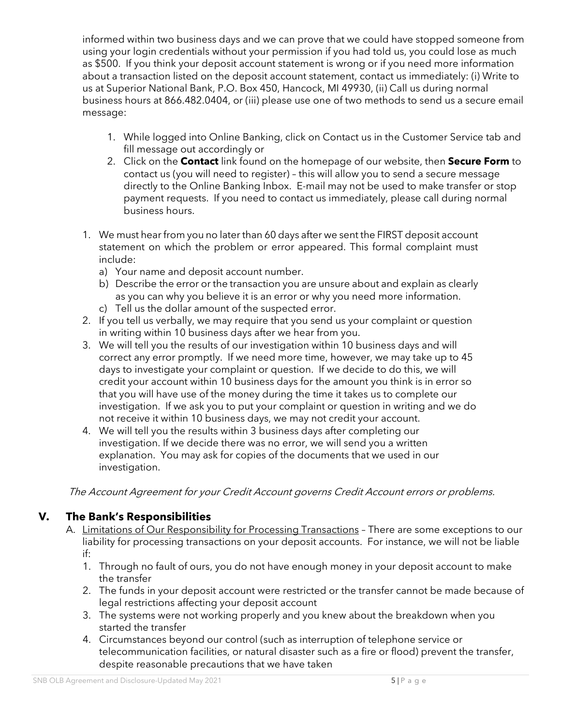informed within two business days and we can prove that we could have stopped someone from using your login credentials without your permission if you had told us, you could lose as much as \$500. If you think your deposit account statement is wrong or if you need more information about a transaction listed on the deposit account statement, contact us immediately: (i) Write to us at Superior National Bank, P.O. Box 450, Hancock, MI 49930, (ii) Call us during normal business hours at 866.482.0404, or (iii) please use one of two methods to send us a secure email message:

- 1. While logged into Online Banking, click on Contact us in the Customer Service tab and fill message out accordingly or
- 2. Click on the **Contact** link found on the homepage of our website, then **Secure Form** to contact us (you will need to register) – this will allow you to send a secure message directly to the Online Banking Inbox. E-mail may not be used to make transfer or stop payment requests. If you need to contact us immediately, please call during normal business hours.
- 1. We must hear from you no later than 60 days after we sent the FIRST deposit account statement on which the problem or error appeared. This formal complaint must include:
	- a) Your name and deposit account number.
	- b) Describe the error or the transaction you are unsure about and explain as clearly as you can why you believe it is an error or why you need more information.
	- c) Tell us the dollar amount of the suspected error.
- 2. If you tell us verbally, we may require that you send us your complaint or question in writing within 10 business days after we hear from you.
- 3. We will tell you the results of our investigation within 10 business days and will correct any error promptly. If we need more time, however, we may take up to 45 days to investigate your complaint or question. If we decide to do this, we will credit your account within 10 business days for the amount you think is in error so that you will have use of the money during the time it takes us to complete our investigation. If we ask you to put your complaint or question in writing and we do not receive it within 10 business days, we may not credit your account.
- 4. We will tell you the results within 3 business days after completing our investigation. If we decide there was no error, we will send you a written explanation. You may ask for copies of the documents that we used in our investigation.

The Account Agreement for your Credit Account governs Credit Account errors or problems.

# **V. The Bank's Responsibilities**

- A. Limitations of Our Responsibility for Processing Transactions There are some exceptions to our liability for processing transactions on your deposit accounts. For instance, we will not be liable if:
	- 1. Through no fault of ours, you do not have enough money in your deposit account to make the transfer
	- 2. The funds in your deposit account were restricted or the transfer cannot be made because of legal restrictions affecting your deposit account
	- 3. The systems were not working properly and you knew about the breakdown when you started the transfer
	- 4. Circumstances beyond our control (such as interruption of telephone service or telecommunication facilities, or natural disaster such as a fire or flood) prevent the transfer, despite reasonable precautions that we have taken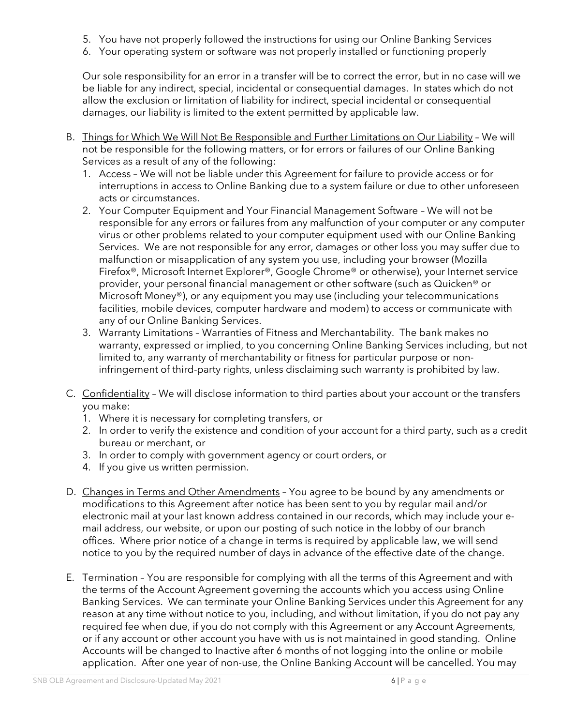- 5. You have not properly followed the instructions for using our Online Banking Services
- 6. Your operating system or software was not properly installed or functioning properly

Our sole responsibility for an error in a transfer will be to correct the error, but in no case will we be liable for any indirect, special, incidental or consequential damages. In states which do not allow the exclusion or limitation of liability for indirect, special incidental or consequential damages, our liability is limited to the extent permitted by applicable law.

- B. Things for Which We Will Not Be Responsible and Further Limitations on Our Liability We will not be responsible for the following matters, or for errors or failures of our Online Banking Services as a result of any of the following:
	- 1. Access We will not be liable under this Agreement for failure to provide access or for interruptions in access to Online Banking due to a system failure or due to other unforeseen acts or circumstances.
	- 2. Your Computer Equipment and Your Financial Management Software We will not be responsible for any errors or failures from any malfunction of your computer or any computer virus or other problems related to your computer equipment used with our Online Banking Services. We are not responsible for any error, damages or other loss you may suffer due to malfunction or misapplication of any system you use, including your browser (Mozilla Firefox®, Microsoft Internet Explorer®, Google Chrome® or otherwise), your Internet service provider, your personal financial management or other software (such as Quicken® or Microsoft Money®), or any equipment you may use (including your telecommunications facilities, mobile devices, computer hardware and modem) to access or communicate with any of our Online Banking Services.
	- 3. Warranty Limitations Warranties of Fitness and Merchantability. The bank makes no warranty, expressed or implied, to you concerning Online Banking Services including, but not limited to, any warranty of merchantability or fitness for particular purpose or noninfringement of third-party rights, unless disclaiming such warranty is prohibited by law.
- C. Confidentiality We will disclose information to third parties about your account or the transfers you make:
	- 1. Where it is necessary for completing transfers, or
	- 2. In order to verify the existence and condition of your account for a third party, such as a credit bureau or merchant, or
	- 3. In order to comply with government agency or court orders, or
	- 4. If you give us written permission.
- D. Changes in Terms and Other Amendments You agree to be bound by any amendments or modifications to this Agreement after notice has been sent to you by regular mail and/or electronic mail at your last known address contained in our records, which may include your email address, our website, or upon our posting of such notice in the lobby of our branch offices. Where prior notice of a change in terms is required by applicable law, we will send notice to you by the required number of days in advance of the effective date of the change.
- E. Termination You are responsible for complying with all the terms of this Agreement and with the terms of the Account Agreement governing the accounts which you access using Online Banking Services. We can terminate your Online Banking Services under this Agreement for any reason at any time without notice to you, including, and without limitation, if you do not pay any required fee when due, if you do not comply with this Agreement or any Account Agreements, or if any account or other account you have with us is not maintained in good standing. Online Accounts will be changed to Inactive after 6 months of not logging into the online or mobile application. After one year of non-use, the Online Banking Account will be cancelled. You may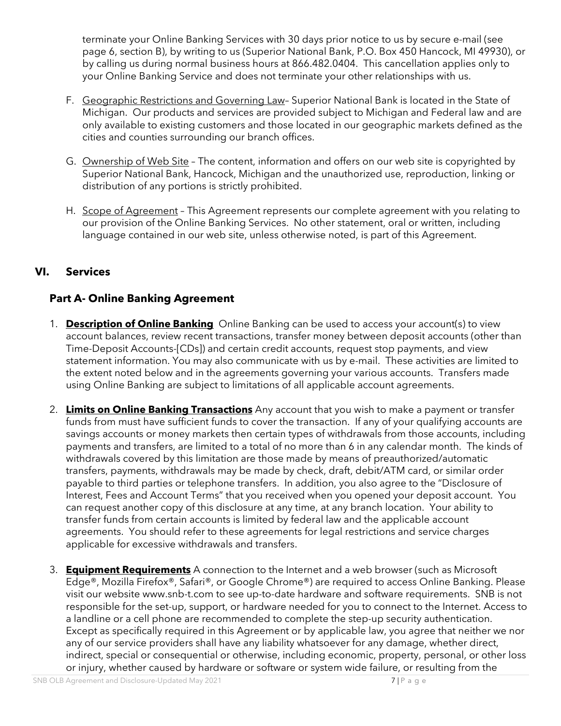terminate your Online Banking Services with 30 days prior notice to us by secure e-mail (see page 6, section B), by writing to us (Superior National Bank, P.O. Box 450 Hancock, MI 49930), or by calling us during normal business hours at 866.482.0404. This cancellation applies only to your Online Banking Service and does not terminate your other relationships with us.

- F. Geographic Restrictions and Governing Law-Superior National Bank is located in the State of Michigan. Our products and services are provided subject to Michigan and Federal law and are only available to existing customers and those located in our geographic markets defined as the cities and counties surrounding our branch offices.
- G. Ownership of Web Site The content, information and offers on our web site is copyrighted by Superior National Bank, Hancock, Michigan and the unauthorized use, reproduction, linking or distribution of any portions is strictly prohibited.
- H. Scope of Agreement This Agreement represents our complete agreement with you relating to our provision of the Online Banking Services. No other statement, oral or written, including language contained in our web site, unless otherwise noted, is part of this Agreement.

# **VI. Services**

# **Part A- Online Banking Agreement**

- 1. **Description of Online Banking** Online Banking can be used to access your account(s) to view account balances, review recent transactions, transfer money between deposit accounts (other than Time-Deposit Accounts-[CDs]) and certain credit accounts, request stop payments, and view statement information. You may also communicate with us by e-mail. These activities are limited to the extent noted below and in the agreements governing your various accounts. Transfers made using Online Banking are subject to limitations of all applicable account agreements.
- 2. **Limits on Online Banking Transactions** Any account that you wish to make a payment or transfer funds from must have sufficient funds to cover the transaction. If any of your qualifying accounts are savings accounts or money markets then certain types of withdrawals from those accounts, including payments and transfers, are limited to a total of no more than 6 in any calendar month. The kinds of withdrawals covered by this limitation are those made by means of preauthorized/automatic transfers, payments, withdrawals may be made by check, draft, debit/ATM card, or similar order payable to third parties or telephone transfers. In addition, you also agree to the "Disclosure of Interest, Fees and Account Terms" that you received when you opened your deposit account. You can request another copy of this disclosure at any time, at any branch location. Your ability to transfer funds from certain accounts is limited by federal law and the applicable account agreements. You should refer to these agreements for legal restrictions and service charges applicable for excessive withdrawals and transfers.
- 3. **Equipment Requirements** A connection to the Internet and a web browser (such as Microsoft Edge®, Mozilla Firefox®, Safari®, or Google Chrome®) are required to access Online Banking. Please visit our website www.snb-t.com to see up-to-date hardware and software requirements. SNB is not responsible for the set-up, support, or hardware needed for you to connect to the Internet. Access to a landline or a cell phone are recommended to complete the step-up security authentication. Except as specifically required in this Agreement or by applicable law, you agree that neither we nor any of our service providers shall have any liability whatsoever for any damage, whether direct, indirect, special or consequential or otherwise, including economic, property, personal, or other loss or injury, whether caused by hardware or software or system wide failure, or resulting from the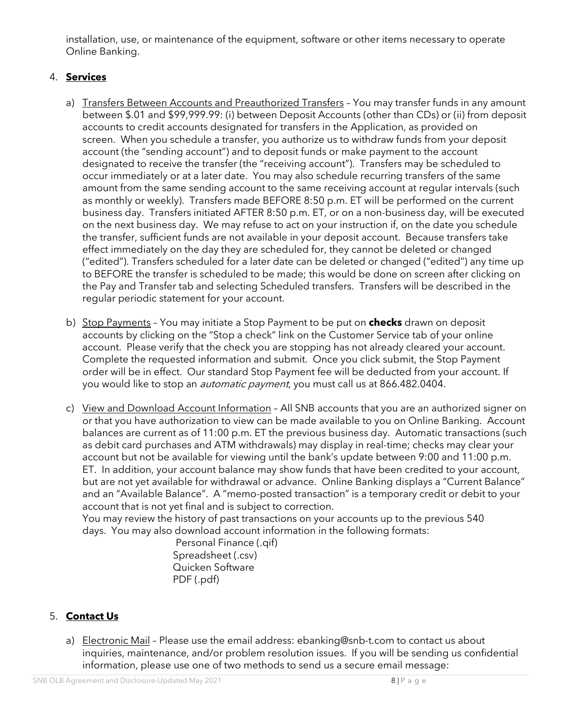installation, use, or maintenance of the equipment, software or other items necessary to operate Online Banking.

## 4. **Services**

- a) Transfers Between Accounts and Preauthorized Transfers You may transfer funds in any amount between \$.01 and \$99,999.99: (i) between Deposit Accounts (other than CDs) or (ii) from deposit accounts to credit accounts designated for transfers in the Application, as provided on screen. When you schedule a transfer, you authorize us to withdraw funds from your deposit account (the "sending account") and to deposit funds or make payment to the account designated to receive the transfer (the "receiving account"). Transfers may be scheduled to occur immediately or at a later date. You may also schedule recurring transfers of the same amount from the same sending account to the same receiving account at regular intervals (such as monthly or weekly). Transfers made BEFORE 8:50 p.m. ET will be performed on the current business day. Transfers initiated AFTER 8:50 p.m. ET, or on a non-business day, will be executed on the next business day. We may refuse to act on your instruction if, on the date you schedule the transfer, sufficient funds are not available in your deposit account. Because transfers take effect immediately on the day they are scheduled for, they cannot be deleted or changed ("edited"). Transfers scheduled for a later date can be deleted or changed ("edited") any time up to BEFORE the transfer is scheduled to be made; this would be done on screen after clicking on the Pay and Transfer tab and selecting Scheduled transfers. Transfers will be described in the regular periodic statement for your account.
- b) Stop Payments You may initiate a Stop Payment to be put on **checks** drawn on deposit accounts by clicking on the "Stop a check" link on the Customer Service tab of your online account. Please verify that the check you are stopping has not already cleared your account. Complete the requested information and submit. Once you click submit, the Stop Payment order will be in effect. Our standard Stop Payment fee will be deducted from your account. If you would like to stop an *automatic payment*, you must call us at 866.482.0404.
- c) View and Download Account Information All SNB accounts that you are an authorized signer on or that you have authorization to view can be made available to you on Online Banking. Account balances are current as of 11:00 p.m. ET the previous business day. Automatic transactions (such as debit card purchases and ATM withdrawals) may display in real-time; checks may clear your account but not be available for viewing until the bank's update between 9:00 and 11:00 p.m. ET. In addition, your account balance may show funds that have been credited to your account, but are not yet available for withdrawal or advance. Online Banking displays a "Current Balance" and an "Available Balance". A "memo-posted transaction" is a temporary credit or debit to your account that is not yet final and is subject to correction.

You may review the history of past transactions on your accounts up to the previous 540 days. You may also download account information in the following formats:

Personal Finance (.qif) Spreadsheet (.csv) Quicken Software PDF (.pdf)

# 5. **Contact Us**

a) Electronic Mail - Please use the email address: ebanking@snb-t.com to contact us about inquiries, maintenance, and/or problem resolution issues. If you will be sending us confidential information, please use one of two methods to send us a secure email message: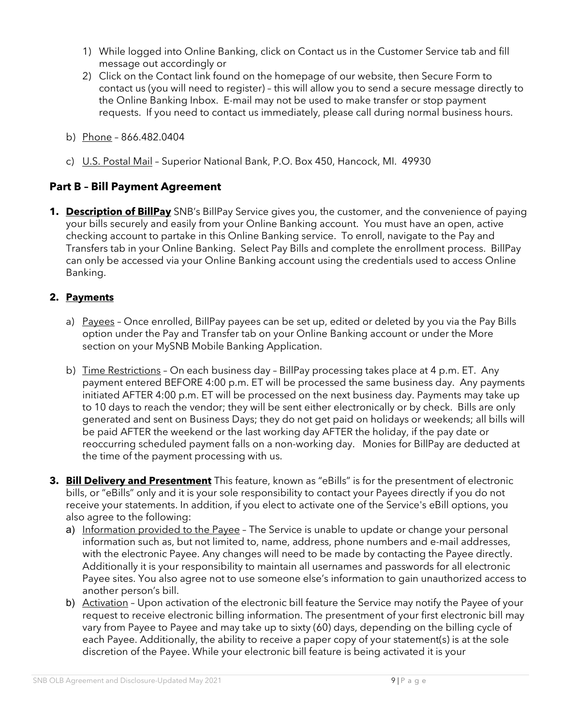- 1) While logged into Online Banking, click on Contact us in the Customer Service tab and fill message out accordingly or
- 2) Click on the Contact link found on the homepage of our website, then Secure Form to contact us (you will need to register) – this will allow you to send a secure message directly to the Online Banking Inbox. E-mail may not be used to make transfer or stop payment requests. If you need to contact us immediately, please call during normal business hours.
- b) Phone 866.482.0404
- c) U.S. Postal Mail Superior National Bank, P.O. Box 450, Hancock, MI. 49930

## **Part B – Bill Payment Agreement**

**1. Description of BillPay** SNB's BillPay Service gives you, the customer, and the convenience of paying your bills securely and easily from your Online Banking account. You must have an open, active checking account to partake in this Online Banking service. To enroll, navigate to the Pay and Transfers tab in your Online Banking. Select Pay Bills and complete the enrollment process. BillPay can only be accessed via your Online Banking account using the credentials used to access Online Banking.

## **2. Payments**

- a) Payees Once enrolled, BillPay payees can be set up, edited or deleted by you via the Pay Bills option under the Pay and Transfer tab on your Online Banking account or under the More section on your MySNB Mobile Banking Application.
- b) Time Restrictions On each business day BillPay processing takes place at 4 p.m. ET. Any payment entered BEFORE 4:00 p.m. ET will be processed the same business day. Any payments initiated AFTER 4:00 p.m. ET will be processed on the next business day. Payments may take up to 10 days to reach the vendor; they will be sent either electronically or by check. Bills are only generated and sent on Business Days; they do not get paid on holidays or weekends; all bills will be paid AFTER the weekend or the last working day AFTER the holiday, if the pay date or reoccurring scheduled payment falls on a non-working day. Monies for BillPay are deducted at the time of the payment processing with us.
- **3. Bill Delivery and Presentment** This feature, known as "eBills" is for the presentment of electronic bills, or "eBills" only and it is your sole responsibility to contact your Payees directly if you do not receive your statements. In addition, if you elect to activate one of the Service's eBill options, you also agree to the following:
	- a) Information provided to the Payee The Service is unable to update or change your personal information such as, but not limited to, name, address, phone numbers and e-mail addresses, with the electronic Payee. Any changes will need to be made by contacting the Payee directly. Additionally it is your responsibility to maintain all usernames and passwords for all electronic Payee sites. You also agree not to use someone else's information to gain unauthorized access to another person's bill.
	- b) Activation Upon activation of the electronic bill feature the Service may notify the Payee of your request to receive electronic billing information. The presentment of your first electronic bill may vary from Payee to Payee and may take up to sixty (60) days, depending on the billing cycle of each Payee. Additionally, the ability to receive a paper copy of your statement(s) is at the sole discretion of the Payee. While your electronic bill feature is being activated it is your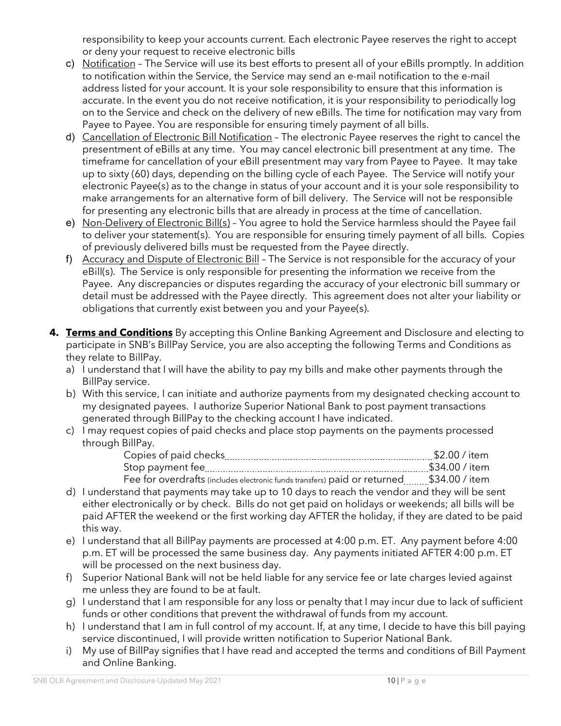responsibility to keep your accounts current. Each electronic Payee reserves the right to accept or deny your request to receive electronic bills

- c) Notification The Service will use its best efforts to present all of your eBills promptly. In addition to notification within the Service, the Service may send an e-mail notification to the e-mail address listed for your account. It is your sole responsibility to ensure that this information is accurate. In the event you do not receive notification, it is your responsibility to periodically log on to the Service and check on the delivery of new eBills. The time for notification may vary from Payee to Payee. You are responsible for ensuring timely payment of all bills.
- d) Cancellation of Electronic Bill Notification The electronic Payee reserves the right to cancel the presentment of eBills at any time. You may cancel electronic bill presentment at any time. The timeframe for cancellation of your eBill presentment may vary from Payee to Payee. It may take up to sixty (60) days, depending on the billing cycle of each Payee. The Service will notify your electronic Payee(s) as to the change in status of your account and it is your sole responsibility to make arrangements for an alternative form of bill delivery. The Service will not be responsible for presenting any electronic bills that are already in process at the time of cancellation.
- e) Non-Delivery of Electronic Bill(s) You agree to hold the Service harmless should the Payee fail to deliver your statement(s). You are responsible for ensuring timely payment of all bills. Copies of previously delivered bills must be requested from the Payee directly.
- f) Accuracy and Dispute of Electronic Bill The Service is not responsible for the accuracy of your eBill(s). The Service is only responsible for presenting the information we receive from the Payee. Any discrepancies or disputes regarding the accuracy of your electronic bill summary or detail must be addressed with the Payee directly. This agreement does not alter your liability or obligations that currently exist between you and your Payee(s).
- **4. Terms and Conditions** By accepting this Online Banking Agreement and Disclosure and electing to participate in SNB's BillPay Service, you are also accepting the following Terms and Conditions as they relate to BillPay.
	- a) I understand that I will have the ability to pay my bills and make other payments through the BillPay service.
	- b) With this service, I can initiate and authorize payments from my designated checking account to my designated payees. I authorize Superior National Bank to post payment transactions generated through BillPay to the checking account I have indicated.
	- c) I may request copies of paid checks and place stop payments on the payments processed through BillPay.

|                                                                                         | \$2.00 / item  |
|-----------------------------------------------------------------------------------------|----------------|
|                                                                                         | \$34.00 / item |
| Fee for overdrafts (includes electronic funds transfers) paid or returned\$34.00 / item |                |

- d) I understand that payments may take up to 10 days to reach the vendor and they will be sent either electronically or by check. Bills do not get paid on holidays or weekends; all bills will be paid AFTER the weekend or the first working day AFTER the holiday, if they are dated to be paid this way.
- e) I understand that all BillPay payments are processed at 4:00 p.m. ET. Any payment before 4:00 p.m. ET will be processed the same business day. Any payments initiated AFTER 4:00 p.m. ET will be processed on the next business day.
- f) Superior National Bank will not be held liable for any service fee or late charges levied against me unless they are found to be at fault.
- g) I understand that I am responsible for any loss or penalty that I may incur due to lack of sufficient funds or other conditions that prevent the withdrawal of funds from my account.
- h) I understand that I am in full control of my account. If, at any time, I decide to have this bill paying service discontinued, I will provide written notification to Superior National Bank.
- i) My use of BillPay signifies that I have read and accepted the terms and conditions of Bill Payment and Online Banking.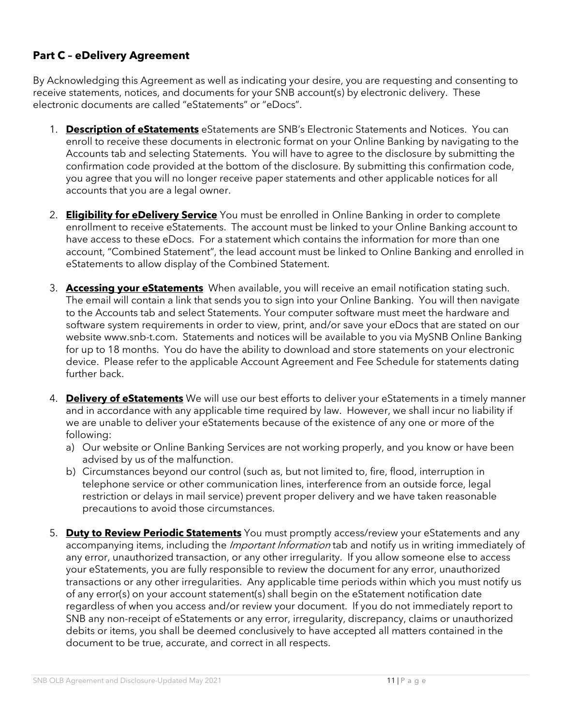# **Part C – eDelivery Agreement**

By Acknowledging this Agreement as well as indicating your desire, you are requesting and consenting to receive statements, notices, and documents for your SNB account(s) by electronic delivery. These electronic documents are called "eStatements" or "eDocs".

- 1. **Description of eStatements** eStatements are SNB's Electronic Statements and Notices. You can enroll to receive these documents in electronic format on your Online Banking by navigating to the Accounts tab and selecting Statements. You will have to agree to the disclosure by submitting the confirmation code provided at the bottom of the disclosure. By submitting this confirmation code, you agree that you will no longer receive paper statements and other applicable notices for all accounts that you are a legal owner.
- 2. **Eligibility for eDelivery Service** You must be enrolled in Online Banking in order to complete enrollment to receive eStatements. The account must be linked to your Online Banking account to have access to these eDocs. For a statement which contains the information for more than one account, "Combined Statement", the lead account must be linked to Online Banking and enrolled in eStatements to allow display of the Combined Statement.
- 3. **Accessing your eStatements** When available, you will receive an email notification stating such. The email will contain a link that sends you to sign into your Online Banking. You will then navigate to the Accounts tab and select Statements. Your computer software must meet the hardware and software system requirements in order to view, print, and/or save your eDocs that are stated on our website www.snb-t.com. Statements and notices will be available to you via MySNB Online Banking for up to 18 months. You do have the ability to download and store statements on your electronic device. Please refer to the applicable Account Agreement and Fee Schedule for statements dating further back.
- 4. **Delivery of eStatements** We will use our best efforts to deliver your eStatements in a timely manner and in accordance with any applicable time required by law. However, we shall incur no liability if we are unable to deliver your eStatements because of the existence of any one or more of the following:
	- a) Our website or Online Banking Services are not working properly, and you know or have been advised by us of the malfunction.
	- b) Circumstances beyond our control (such as, but not limited to, fire, flood, interruption in telephone service or other communication lines, interference from an outside force, legal restriction or delays in mail service) prevent proper delivery and we have taken reasonable precautions to avoid those circumstances.
- 5. **Duty to Review Periodic Statements** You must promptly access/review your eStatements and any accompanying items, including the *Important Information* tab and notify us in writing immediately of any error, unauthorized transaction, or any other irregularity. If you allow someone else to access your eStatements, you are fully responsible to review the document for any error, unauthorized transactions or any other irregularities. Any applicable time periods within which you must notify us of any error(s) on your account statement(s) shall begin on the eStatement notification date regardless of when you access and/or review your document. If you do not immediately report to SNB any non-receipt of eStatements or any error, irregularity, discrepancy, claims or unauthorized debits or items, you shall be deemed conclusively to have accepted all matters contained in the document to be true, accurate, and correct in all respects.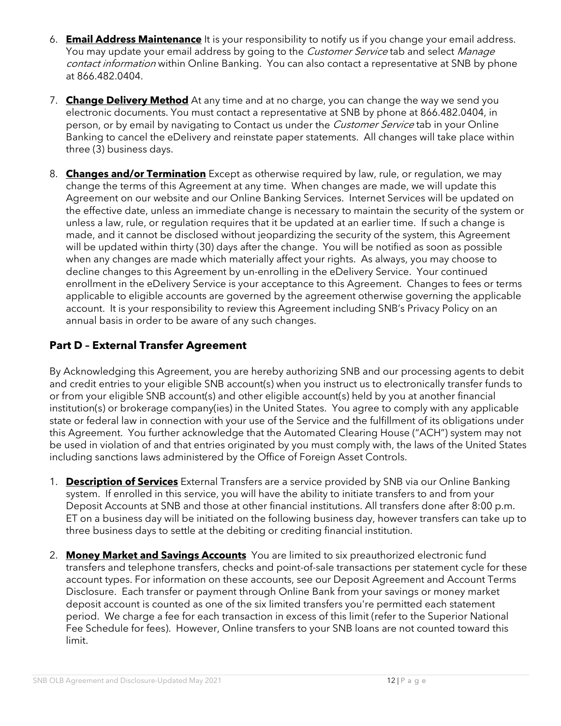- 6. **Email Address Maintenance** It is your responsibility to notify us if you change your email address. You may update your email address by going to the *Customer Service* tab and select Manage contact information within Online Banking. You can also contact a representative at SNB by phone at 866.482.0404.
- 7. **Change Delivery Method** At any time and at no charge, you can change the way we send you electronic documents. You must contact a representative at SNB by phone at 866.482.0404, in person, or by email by navigating to Contact us under the Customer Service tab in your Online Banking to cancel the eDelivery and reinstate paper statements. All changes will take place within three (3) business days.
- 8. **Changes and/or Termination** Except as otherwise required by law, rule, or regulation, we may change the terms of this Agreement at any time. When changes are made, we will update this Agreement on our website and our Online Banking Services. Internet Services will be updated on the effective date, unless an immediate change is necessary to maintain the security of the system or unless a law, rule, or regulation requires that it be updated at an earlier time. If such a change is made, and it cannot be disclosed without jeopardizing the security of the system, this Agreement will be updated within thirty (30) days after the change. You will be notified as soon as possible when any changes are made which materially affect your rights. As always, you may choose to decline changes to this Agreement by un-enrolling in the eDelivery Service. Your continued enrollment in the eDelivery Service is your acceptance to this Agreement. Changes to fees or terms applicable to eligible accounts are governed by the agreement otherwise governing the applicable account. It is your responsibility to review this Agreement including SNB's Privacy Policy on an annual basis in order to be aware of any such changes.

# **Part D – External Transfer Agreement**

By Acknowledging this Agreement, you are hereby authorizing SNB and our processing agents to debit and credit entries to your eligible SNB account(s) when you instruct us to electronically transfer funds to or from your eligible SNB account(s) and other eligible account(s) held by you at another financial institution(s) or brokerage company(ies) in the United States. You agree to comply with any applicable state or federal law in connection with your use of the Service and the fulfillment of its obligations under this Agreement. You further acknowledge that the Automated Clearing House ("ACH") system may not be used in violation of and that entries originated by you must comply with, the laws of the United States including sanctions laws administered by the Office of Foreign Asset Controls.

- 1. **Description of Services** External Transfers are a service provided by SNB via our Online Banking system. If enrolled in this service, you will have the ability to initiate transfers to and from your Deposit Accounts at SNB and those at other financial institutions. All transfers done after 8:00 p.m. ET on a business day will be initiated on the following business day, however transfers can take up to three business days to settle at the debiting or crediting financial institution.
- 2. **Money Market and Savings Accounts** You are limited to six preauthorized electronic fund transfers and telephone transfers, checks and point-of-sale transactions per statement cycle for these account types. For information on these accounts, see our Deposit Agreement and Account Terms Disclosure. Each transfer or payment through Online Bank from your savings or money market deposit account is counted as one of the six limited transfers you're permitted each statement period. We charge a fee for each transaction in excess of this limit (refer to the Superior National Fee Schedule for fees). However, Online transfers to your SNB loans are not counted toward this limit.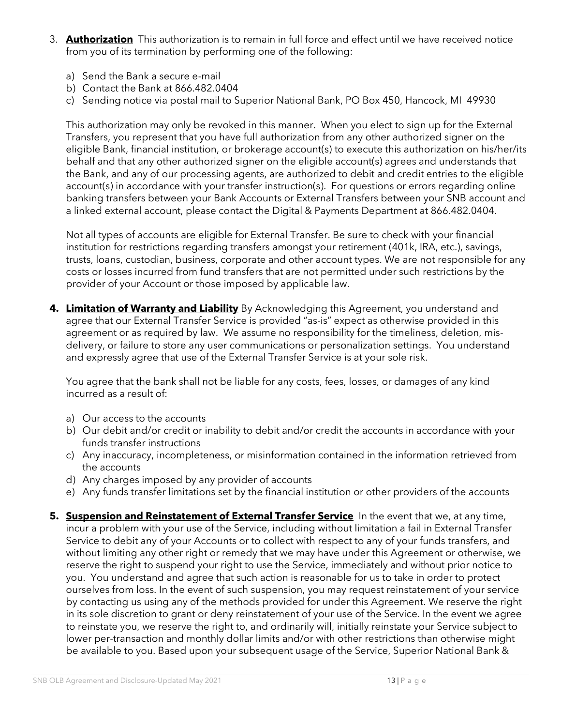- 3. **Authorization** This authorization is to remain in full force and effect until we have received notice from you of its termination by performing one of the following:
	- a) Send the Bank a secure e-mail
	- b) Contact the Bank at 866.482.0404
	- c) Sending notice via postal mail to Superior National Bank, PO Box 450, Hancock, MI 49930

This authorization may only be revoked in this manner. When you elect to sign up for the External Transfers, you represent that you have full authorization from any other authorized signer on the eligible Bank, financial institution, or brokerage account(s) to execute this authorization on his/her/its behalf and that any other authorized signer on the eligible account(s) agrees and understands that the Bank, and any of our processing agents, are authorized to debit and credit entries to the eligible account(s) in accordance with your transfer instruction(s). For questions or errors regarding online banking transfers between your Bank Accounts or External Transfers between your SNB account and a linked external account, please contact the Digital & Payments Department at 866.482.0404.

Not all types of accounts are eligible for External Transfer. Be sure to check with your financial institution for restrictions regarding transfers amongst your retirement (401k, IRA, etc.), savings, trusts, loans, custodian, business, corporate and other account types. We are not responsible for any costs or losses incurred from fund transfers that are not permitted under such restrictions by the provider of your Account or those imposed by applicable law.

**4. Limitation of Warranty and Liability** By Acknowledging this Agreement, you understand and agree that our External Transfer Service is provided "as-is" expect as otherwise provided in this agreement or as required by law. We assume no responsibility for the timeliness, deletion, misdelivery, or failure to store any user communications or personalization settings. You understand and expressly agree that use of the External Transfer Service is at your sole risk.

You agree that the bank shall not be liable for any costs, fees, losses, or damages of any kind incurred as a result of:

- a) Our access to the accounts
- b) Our debit and/or credit or inability to debit and/or credit the accounts in accordance with your funds transfer instructions
- c) Any inaccuracy, incompleteness, or misinformation contained in the information retrieved from the accounts
- d) Any charges imposed by any provider of accounts
- e) Any funds transfer limitations set by the financial institution or other providers of the accounts
- **5. Suspension and Reinstatement of External Transfer Service** In the event that we, at any time, incur a problem with your use of the Service, including without limitation a fail in External Transfer Service to debit any of your Accounts or to collect with respect to any of your funds transfers, and without limiting any other right or remedy that we may have under this Agreement or otherwise, we reserve the right to suspend your right to use the Service, immediately and without prior notice to you. You understand and agree that such action is reasonable for us to take in order to protect ourselves from loss. In the event of such suspension, you may request reinstatement of your service by contacting us using any of the methods provided for under this Agreement. We reserve the right in its sole discretion to grant or deny reinstatement of your use of the Service. In the event we agree to reinstate you, we reserve the right to, and ordinarily will, initially reinstate your Service subject to lower per-transaction and monthly dollar limits and/or with other restrictions than otherwise might be available to you. Based upon your subsequent usage of the Service, Superior National Bank &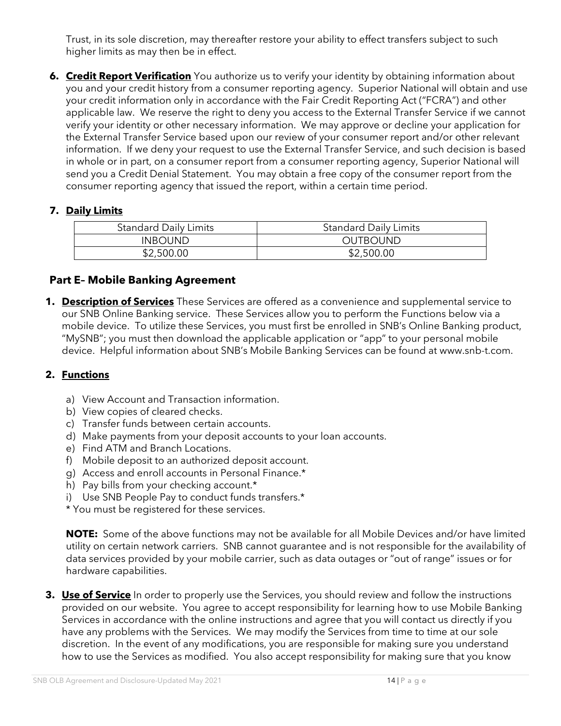Trust, in its sole discretion, may thereafter restore your ability to effect transfers subject to such higher limits as may then be in effect.

**6. Credit Report Verification** You authorize us to verify your identity by obtaining information about you and your credit history from a consumer reporting agency. Superior National will obtain and use your credit information only in accordance with the Fair Credit Reporting Act ("FCRA") and other applicable law. We reserve the right to deny you access to the External Transfer Service if we cannot verify your identity or other necessary information. We may approve or decline your application for the External Transfer Service based upon our review of your consumer report and/or other relevant information. If we deny your request to use the External Transfer Service, and such decision is based in whole or in part, on a consumer report from a consumer reporting agency, Superior National will send you a Credit Denial Statement. You may obtain a free copy of the consumer report from the consumer reporting agency that issued the report, within a certain time period.

### **7. Daily Limits**

| <b>Standard Daily Limits</b> | <b>Standard Daily Limits</b> |
|------------------------------|------------------------------|
| <b>INBOUND</b>               | <b>OUTBOUND</b>              |
| \$2,500.00                   | \$2,500.00                   |

## **Part E– Mobile Banking Agreement**

**1. Description of Services** These Services are offered as a convenience and supplemental service to our SNB Online Banking service. These Services allow you to perform the Functions below via a mobile device. To utilize these Services, you must first be enrolled in SNB's Online Banking product, "MySNB"; you must then download the applicable application or "app" to your personal mobile device. Helpful information about SNB's Mobile Banking Services can be found at www.snb-t.com.

### **2. Functions**

- a) View Account and Transaction information.
- b) View copies of cleared checks.
- c) Transfer funds between certain accounts.
- d) Make payments from your deposit accounts to your loan accounts.
- e) Find ATM and Branch Locations.
- f) Mobile deposit to an authorized deposit account.
- g) Access and enroll accounts in Personal Finance.\*
- h) Pay bills from your checking account.\*
- i) Use SNB People Pay to conduct funds transfers.\*

\* You must be registered for these services.

**NOTE:** Some of the above functions may not be available for all Mobile Devices and/or have limited utility on certain network carriers. SNB cannot guarantee and is not responsible for the availability of data services provided by your mobile carrier, such as data outages or "out of range" issues or for hardware capabilities.

**3. Use of Service** In order to properly use the Services, you should review and follow the instructions provided on our website. You agree to accept responsibility for learning how to use Mobile Banking Services in accordance with the online instructions and agree that you will contact us directly if you have any problems with the Services. We may modify the Services from time to time at our sole discretion. In the event of any modifications, you are responsible for making sure you understand how to use the Services as modified. You also accept responsibility for making sure that you know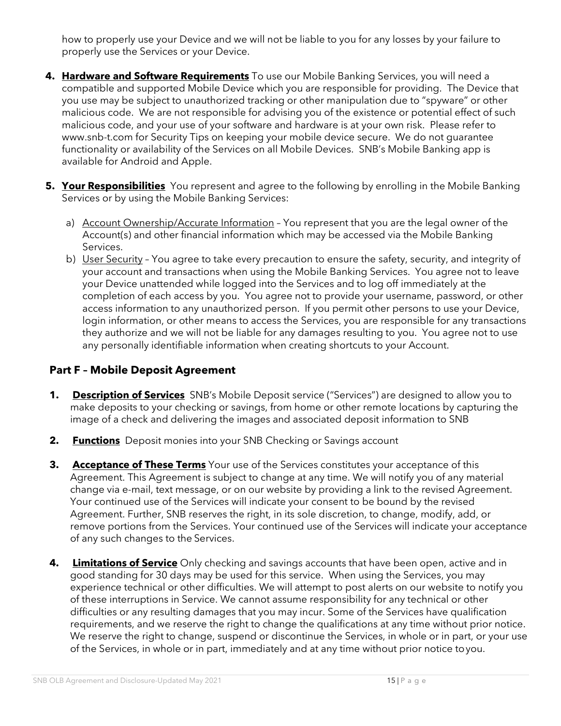how to properly use your Device and we will not be liable to you for any losses by your failure to properly use the Services or your Device.

- **4. Hardware and Software Requirements** To use our Mobile Banking Services, you will need a compatible and supported Mobile Device which you are responsible for providing. The Device that you use may be subject to unauthorized tracking or other manipulation due to "spyware" or other malicious code. We are not responsible for advising you of the existence or potential effect of such malicious code, and your use of your software and hardware is at your own risk. Please refer to www.snb-t.com for Security Tips on keeping your mobile device secure. We do not guarantee functionality or availability of the Services on all Mobile Devices. SNB's Mobile Banking app is available for Android and Apple.
- **5. Your Responsibilities** You represent and agree to the following by enrolling in the Mobile Banking Services or by using the Mobile Banking Services:
	- a) Account Ownership/Accurate Information You represent that you are the legal owner of the Account(s) and other financial information which may be accessed via the Mobile Banking Services.
	- b) User Security You agree to take every precaution to ensure the safety, security, and integrity of your account and transactions when using the Mobile Banking Services. You agree not to leave your Device unattended while logged into the Services and to log off immediately at the completion of each access by you. You agree not to provide your username, password, or other access information to any unauthorized person. If you permit other persons to use your Device, login information, or other means to access the Services, you are responsible for any transactions they authorize and we will not be liable for any damages resulting to you. You agree not to use any personally identifiable information when creating shortcuts to your Account.

# **Part F – Mobile Deposit Agreement**

- **1. Description of Services** SNB's Mobile Deposit service ("Services") are designed to allow you to make deposits to your checking or savings, from home or other remote locations by capturing the image of a check and delivering the images and associated deposit information to SNB
- **2. Functions** Deposit monies into your SNB Checking or Savings account
- **3. Acceptance of These Terms** Your use of the Services constitutes your acceptance of this Agreement. This Agreement is subject to change at any time. We will notify you of any material change via e-mail, text message, or on our website by providing a link to the revised Agreement. Your continued use of the Services will indicate your consent to be bound by the revised Agreement. Further, SNB reserves the right, in its sole discretion, to change, modify, add, or remove portions from the Services. Your continued use of the Services will indicate your acceptance of any such changes to the Services.
- **4. Limitations of Service** Only checking and savings accounts that have been open, active and in good standing for 30 days may be used for this service. When using the Services, you may experience technical or other difficulties. We will attempt to post alerts on our website to notify you of these interruptions in Service. We cannot assume responsibility for any technical or other difficulties or any resulting damages that you may incur. Some of the Services have qualification requirements, and we reserve the right to change the qualifications at any time without prior notice. We reserve the right to change, suspend or discontinue the Services, in whole or in part, or your use of the Services, in whole or in part, immediately and at any time without prior notice toyou.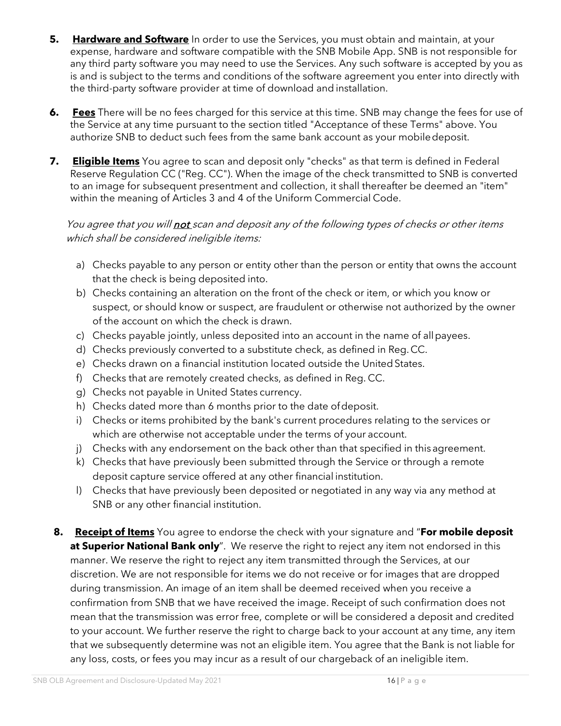- **5. Hardware and Software** In order to use the Services, you must obtain and maintain, at your expense, hardware and software compatible with the SNB Mobile App. SNB is not responsible for any third party software you may need to use the Services. Any such software is accepted by you as is and is subject to the terms and conditions of the software agreement you enter into directly with the third-party software provider at time of download and installation.
- **6. Fees** There will be no fees charged for this service at this time. SNB may change the fees for use of the Service at any time pursuant to the section titled "Acceptance of these Terms" above. You authorize SNB to deduct such fees from the same bank account as your mobiledeposit.
- **7. Eligible Items** You agree to scan and deposit only "checks" as that term is defined in Federal Reserve Regulation CC ("Reg. CC"). When the image of the check transmitted to SNB is converted to an image for subsequent presentment and collection, it shall thereafter be deemed an "item" within the meaning of Articles 3 and 4 of the Uniform Commercial Code.

#### You agree that you will **not** scan and deposit any of the following types of checks or other items which shall be considered ineligible items:

- a) Checks payable to any person or entity other than the person or entity that owns the account that the check is being deposited into.
- b) Checks containing an alteration on the front of the check or item, or which you know or suspect, or should know or suspect, are fraudulent or otherwise not authorized by the owner of the account on which the check is drawn.
- c) Checks payable jointly, unless deposited into an account in the name of allpayees.
- d) Checks previously converted to a substitute check, as defined in Reg.CC.
- e) Checks drawn on a financial institution located outside the United States.
- f) Checks that are remotely created checks, as defined in Reg. CC.
- g) Checks not payable in United States currency.
- h) Checks dated more than 6 months prior to the date ofdeposit.
- i) Checks or items prohibited by the bank's current procedures relating to the services or which are otherwise not acceptable under the terms of your account.
- j) Checks with any endorsement on the back other than that specified in this agreement.
- k) Checks that have previously been submitted through the Service or through a remote deposit capture service offered at any other financial institution.
- l) Checks that have previously been deposited or negotiated in any way via any method at SNB or any other financial institution.
- **8. Receipt of Items** You agree to endorse the check with your signature and "**For mobile deposit**  at Superior National Bank only". We reserve the right to reject any item not endorsed in this manner. We reserve the right to reject any item transmitted through the Services, at our discretion. We are not responsible for items we do not receive or for images that are dropped during transmission. An image of an item shall be deemed received when you receive a confirmation from SNB that we have received the image. Receipt of such confirmation does not mean that the transmission was error free, complete or will be considered a deposit and credited to your account. We further reserve the right to charge back to your account at any time, any item that we subsequently determine was not an eligible item. You agree that the Bank is not liable for any loss, costs, or fees you may incur as a result of our chargeback of an ineligible item.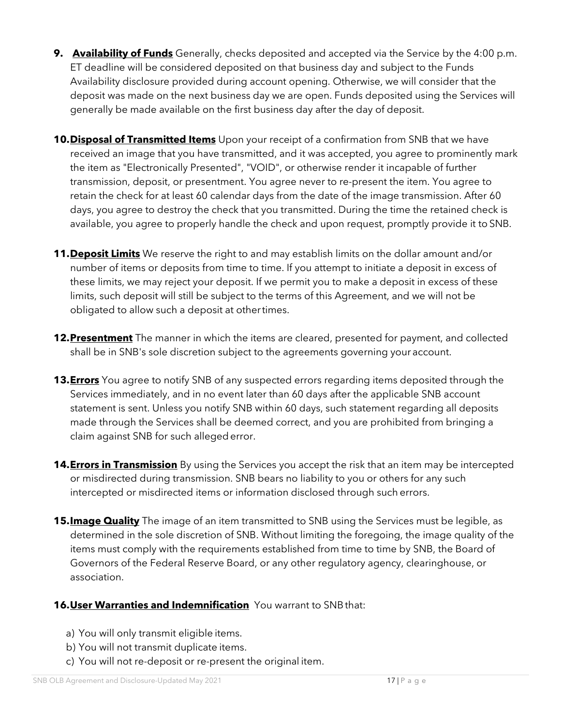- **9. Availability of Funds** Generally, checks deposited and accepted via the Service by the 4:00 p.m. ET deadline will be considered deposited on that business day and subject to the Funds Availability disclosure provided during account opening. Otherwise, we will consider that the deposit was made on the next business day we are open. Funds deposited using the Services will generally be made available on the first business day after the day of deposit.
- **10. Disposal of Transmitted Items** Upon your receipt of a confirmation from SNB that we have received an image that you have transmitted, and it was accepted, you agree to prominently mark the item as "Electronically Presented", "VOID", or otherwise render it incapable of further transmission, deposit, or presentment. You agree never to re-present the item. You agree to retain the check for at least 60 calendar days from the date of the image transmission. After 60 days, you agree to destroy the check that you transmitted. During the time the retained check is available, you agree to properly handle the check and upon request, promptly provide it to SNB.
- **11.Deposit Limits** We reserve the right to and may establish limits on the dollar amount and/or number of items or deposits from time to time. If you attempt to initiate a deposit in excess of these limits, we may reject your deposit. If we permit you to make a deposit in excess of these limits, such deposit will still be subject to the terms of this Agreement, and we will not be obligated to allow such a deposit at othertimes.
- **12.Presentment** The manner in which the items are cleared, presented for payment, and collected shall be in SNB's sole discretion subject to the agreements governing your account.
- **13.Errors** You agree to notify SNB of any suspected errors regarding items deposited through the Services immediately, and in no event later than 60 days after the applicable SNB account statement is sent. Unless you notify SNB within 60 days, such statement regarding all deposits made through the Services shall be deemed correct, and you are prohibited from bringing a claim against SNB for such allegederror.
- **14.Errors in Transmission** By using the Services you accept the risk that an item may be intercepted or misdirected during transmission. SNB bears no liability to you or others for any such intercepted or misdirected items or information disclosed through such errors.
- **15. Image Quality** The image of an item transmitted to SNB using the Services must be legible, as determined in the sole discretion of SNB. Without limiting the foregoing, the image quality of the items must comply with the requirements established from time to time by SNB, the Board of Governors of the Federal Reserve Board, or any other regulatory agency, clearinghouse, or association.

## **16.User Warranties and Indemnification** You warrant to SNBthat:

- a) You will only transmit eligible items.
- b) You will not transmit duplicate items.
- c) You will not re-deposit or re-present the original item.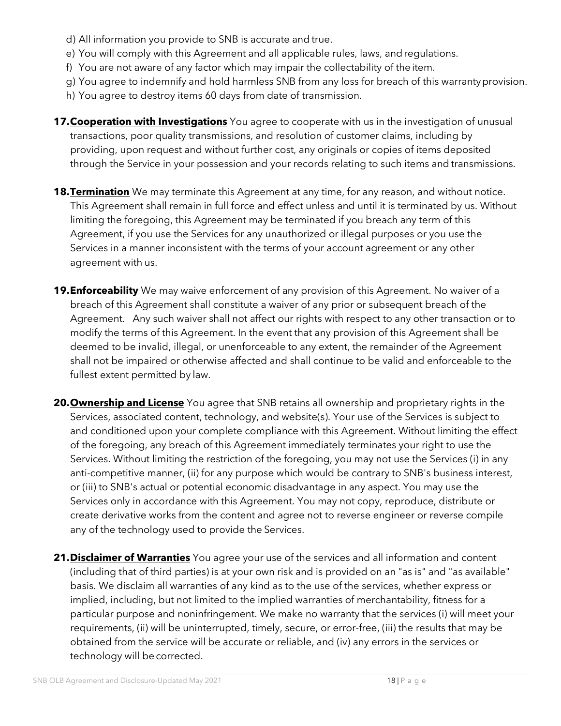- d) All information you provide to SNB is accurate and true.
- e) You will comply with this Agreement and all applicable rules, laws, andregulations.
- f) You are not aware of any factor which may impair the collectability of the item.
- g) You agree to indemnify and hold harmless SNB from any loss for breach of this warrantyprovision.
- h) You agree to destroy items 60 days from date of transmission.
- **17.Cooperation with Investigations** You agree to cooperate with us in the investigation of unusual transactions, poor quality transmissions, and resolution of customer claims, including by providing, upon request and without further cost, any originals or copies of items deposited through the Service in your possession and your records relating to such items and transmissions.
- **18.Termination** We may terminate this Agreement at any time, for any reason, and without notice. This Agreement shall remain in full force and effect unless and until it is terminated by us. Without limiting the foregoing, this Agreement may be terminated if you breach any term of this Agreement, if you use the Services for any unauthorized or illegal purposes or you use the Services in a manner inconsistent with the terms of your account agreement or any other agreement with us.
- **19. Enforceability** We may waive enforcement of any provision of this Agreement. No waiver of a breach of this Agreement shall constitute a waiver of any prior or subsequent breach of the Agreement. Any such waiver shall not affect our rights with respect to any other transaction or to modify the terms of this Agreement. In the event that any provision of this Agreement shall be deemed to be invalid, illegal, or unenforceable to any extent, the remainder of the Agreement shall not be impaired or otherwise affected and shall continue to be valid and enforceable to the fullest extent permitted by law.
- **20.Ownership and License** You agree that SNB retains all ownership and proprietary rights in the Services, associated content, technology, and website(s). Your use of the Services is subject to and conditioned upon your complete compliance with this Agreement. Without limiting the effect of the foregoing, any breach of this Agreement immediately terminates your right to use the Services. Without limiting the restriction of the foregoing, you may not use the Services (i) in any anti-competitive manner, (ii) for any purpose which would be contrary to SNB's business interest, or (iii) to SNB's actual or potential economic disadvantage in any aspect. You may use the Services only in accordance with this Agreement. You may not copy, reproduce, distribute or create derivative works from the content and agree not to reverse engineer or reverse compile any of the technology used to provide the Services.
- **21. Disclaimer of Warranties** You agree your use of the services and all information and content (including that of third parties) is at your own risk and is provided on an "as is" and "as available" basis. We disclaim all warranties of any kind as to the use of the services, whether express or implied, including, but not limited to the implied warranties of merchantability, fitness for a particular purpose and noninfringement. We make no warranty that the services (i) will meet your requirements, (ii) will be uninterrupted, timely, secure, or error-free, (iii) the results that may be obtained from the service will be accurate or reliable, and (iv) any errors in the services or technology will be corrected.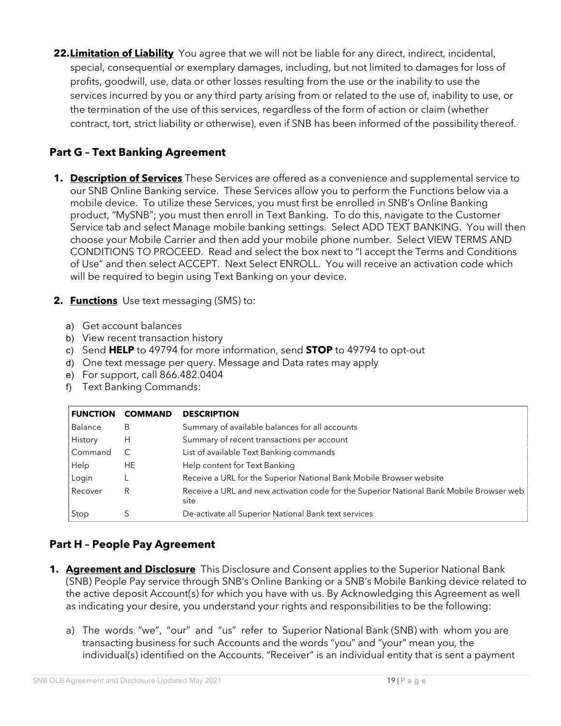**22.Limitation of Liability** You agree that we will not be liable for any direct, indirect, incidental, special, consequential or exemplary damages, including, but not limited to damages for loss of profits, goodwill, use, data or other losses resulting from the use or the inability to use the services incurred by you or any third party arising from or related to the use of, inability to use, or the termination of the use of this services, regardless of the form of action or claim (whether contract, tort, strict liability or otherwise), even if SNB has been informed of the possibility thereof.

# **Part G – Text Banking Agreement**

- **1. Description of Services** These Services are offered as a convenience and supplemental service to our SNB Online Banking service. These Services allow you to perform the Functions below via a mobile device. To utilize these Services, you must first be enrolled in SNB's Online Banking product, "MySNB"; you must then enroll in Text Banking. To do this, navigate to the Customer Service tab and select Manage mobile banking settings. Select ADD TEXT BANKING. You will then choose your Mobile Carrier and then add your mobile phone number. Select VIEW TERMS AND CONDITIONS TO PROCEED. Read and select the box next to "I accept the Terms and Conditions of Use" and then select ACCEPT. Next Select ENROLL. You will receive an activation code which will be required to begin using Text Banking on your device.
- **2. Functions** Use text messaging (SMS) to:
	- a) Get account balances
	- b) View recent transaction history
	- c) Send **HELP** to 49794 for more information, send **STOP** to 49794 to opt-out
	- d) One text message per query. Message and Data rates may apply
	- e) For support, call 866.482.0404
	- f) Text Banking Commands:

| <b>FUNCTION</b> | <b>COMMAND</b> | <b>DESCRIPTION</b>                                                                              |
|-----------------|----------------|-------------------------------------------------------------------------------------------------|
| Balance         | B              | Summary of available balances for all accounts                                                  |
| History         | Н              | Summary of recent transactions per account                                                      |
| Command         | C              | List of available Text Banking commands                                                         |
| Help            | HE             | Help content for Text Banking                                                                   |
| Login           |                | Receive a URL for the Superior National Bank Mobile Browser website                             |
| Recover         | R              | Receive a URL and new activation code for the Superior National Bank Mobile Browser web<br>site |
| Stop            |                | De-activate all Superior National Bank text services                                            |

# **Part H – People Pay Agreement**

- **1. Agreement and Disclosure** This Disclosure and Consent applies to the Superior National Bank (SNB) People Pay service through SNB's Online Banking or a SNB's Mobile Banking device related to the active deposit Account(s) for which you have with us. By Acknowledging this Agreement as well as indicating your desire, you understand your rights and responsibilities to be the following:
	- a) The words "we", "our" and "us" refer to Superior National Bank (SNB) with whom you are transacting business for such Accounts and the words "you" and "your" mean you, the individual(s) identified on the Accounts. "Receiver" is an individual entity that is sent a payment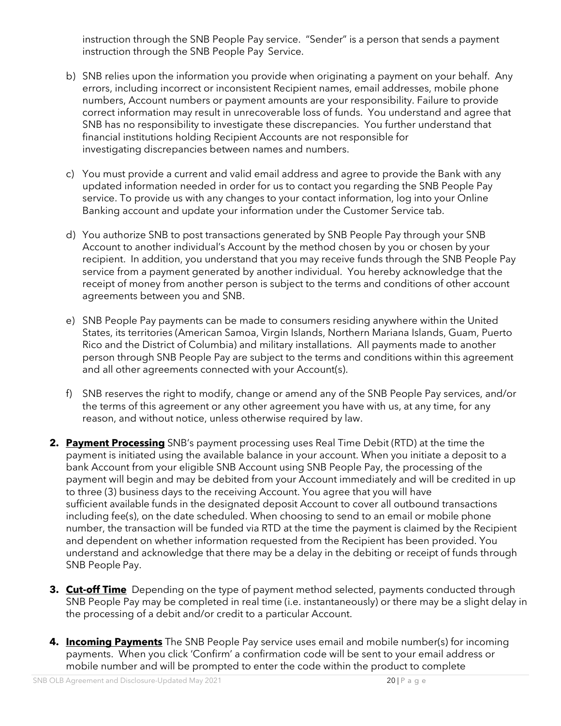instruction through the SNB People Pay service. "Sender" is a person that sends a payment instruction through the SNB People Pay Service.

- b) SNB relies upon the information you provide when originating a payment on your behalf. Any errors, including incorrect or inconsistent Recipient names, email addresses, mobile phone numbers, Account numbers or payment amounts are your responsibility. Failure to provide correct information may result in unrecoverable loss of funds. You understand and agree that SNB has no responsibility to investigate these discrepancies. You further understand that financial institutions holding Recipient Accounts are not responsible for investigating discrepancies between names and numbers.
- c) You must provide a current and valid email address and agree to provide the Bank with any updated information needed in order for us to contact you regarding the SNB People Pay service. To provide us with any changes to your contact information, log into your Online Banking account and update your information under the Customer Service tab.
- d) You authorize SNB to post transactions generated by SNB People Pay through your SNB Account to another individual's Account by the method chosen by you or chosen by your recipient. In addition, you understand that you may receive funds through the SNB People Pay service from a payment generated by another individual. You hereby acknowledge that the receipt of money from another person is subject to the terms and conditions of other account agreements between you and SNB.
- e) SNB People Pay payments can be made to consumers residing anywhere within the United States, its territories (American Samoa, Virgin Islands, Northern Mariana Islands, Guam, Puerto Rico and the District of Columbia) and military installations. All payments made to another person through SNB People Pay are subject to the terms and conditions within this agreement and all other agreements connected with your Account(s).
- f) SNB reserves the right to modify, change or amend any of the SNB People Pay services, and/or the terms of this agreement or any other agreement you have with us, at any time, for any reason, and without notice, unless otherwise required by law.
- **2. Payment Processing** SNB's payment processing uses Real Time Debit (RTD) at the time the payment is initiated using the available balance in your account. When you initiate a deposit to a bank Account from your eligible SNB Account using SNB People Pay, the processing of the payment will begin and may be debited from your Account immediately and will be credited in up to three (3) business days to the receiving Account. You agree that you will have sufficient available funds in the designated deposit Account to cover all outbound transactions including fee(s), on the date scheduled. When choosing to send to an email or mobile phone number, the transaction will be funded via RTD at the time the payment is claimed by the Recipient and dependent on whether information requested from the Recipient has been provided. You understand and acknowledge that there may be a delay in the debiting or receipt of funds through SNB People Pay.
- **3. Cut-off Time** Depending on the type of payment method selected, payments conducted through SNB People Pay may be completed in real time (i.e. instantaneously) or there may be a slight delay in the processing of a debit and/or credit to a particular Account.
- **4. Incoming Payments** The SNB People Pay service uses email and mobile number(s) for incoming payments. When you click 'Confirm' a confirmation code will be sent to your email address or mobile number and will be prompted to enter the code within the product to complete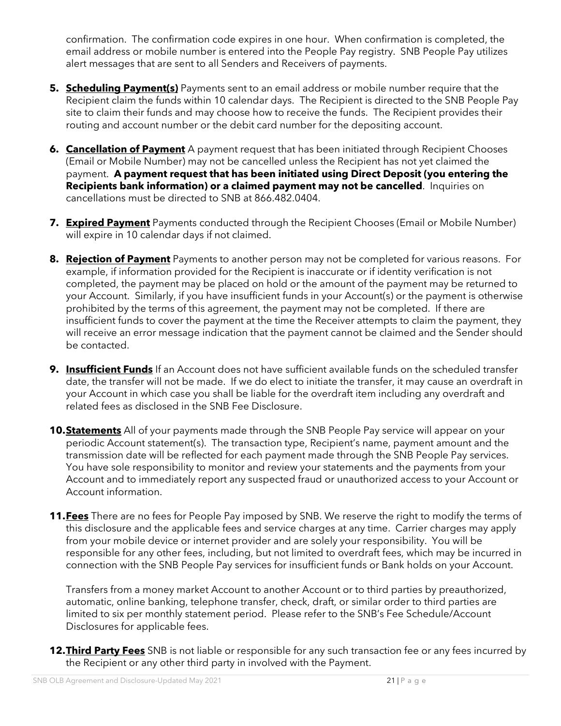confirmation. The confirmation code expires in one hour. When confirmation is completed, the email address or mobile number is entered into the People Pay registry. SNB People Pay utilizes alert messages that are sent to all Senders and Receivers of payments.

- **5. Scheduling Payment(s)** Payments sent to an email address or mobile number require that the Recipient claim the funds within 10 calendar days. The Recipient is directed to the SNB People Pay site to claim their funds and may choose how to receive the funds. The Recipient provides their routing and account number or the debit card number for the depositing account.
- **6. Cancellation of Payment** A payment request that has been initiated through Recipient Chooses (Email or Mobile Number) may not be cancelled unless the Recipient has not yet claimed the payment. **A payment request that has been initiated using Direct Deposit (you entering the Recipients bank information) or a claimed payment may not be cancelled**. Inquiries on cancellations must be directed to SNB at 866.482.0404.
- **7. Expired Payment** Payments conducted through the Recipient Chooses (Email or Mobile Number) will expire in 10 calendar days if not claimed.
- **8. Rejection of Payment** Payments to another person may not be completed for various reasons. For example, if information provided for the Recipient is inaccurate or if identity verification is not completed, the payment may be placed on hold or the amount of the payment may be returned to your Account. Similarly, if you have insufficient funds in your Account(s) or the payment is otherwise prohibited by the terms of this agreement, the payment may not be completed. If there are insufficient funds to cover the payment at the time the Receiver attempts to claim the payment, they will receive an error message indication that the payment cannot be claimed and the Sender should be contacted.
- **9. Insufficient Funds** If an Account does not have sufficient available funds on the scheduled transfer date, the transfer will not be made. If we do elect to initiate the transfer, it may cause an overdraft in your Account in which case you shall be liable for the overdraft item including any overdraft and related fees as disclosed in the SNB Fee Disclosure.
- **10. Statements** All of your payments made through the SNB People Pay service will appear on your periodic Account statement(s). The transaction type, Recipient's name, payment amount and the transmission date will be reflected for each payment made through the SNB People Pay services. You have sole responsibility to monitor and review your statements and the payments from your Account and to immediately report any suspected fraud or unauthorized access to your Account or Account information.
- **11.Fees** There are no fees for People Pay imposed by SNB. We reserve the right to modify the terms of this disclosure and the applicable fees and service charges at any time. Carrier charges may apply from your mobile device or internet provider and are solely your responsibility. You will be responsible for any other fees, including, but not limited to overdraft fees, which may be incurred in connection with the SNB People Pay services for insufficient funds or Bank holds on your Account.

Transfers from a money market Account to another Account or to third parties by preauthorized, automatic, online banking, telephone transfer, check, draft, or similar order to third parties are limited to six per monthly statement period. Please refer to the SNB's Fee Schedule/Account Disclosures for applicable fees.

**12.Third Party Fees** SNB is not liable or responsible for any such transaction fee or any fees incurred by the Recipient or any other third party in involved with the Payment.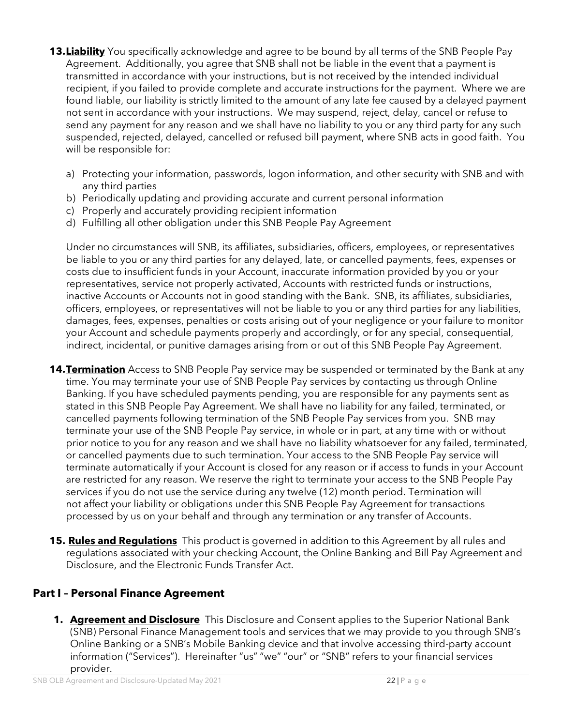- **13.Liability** You specifically acknowledge and agree to be bound by all terms of the SNB People Pay Agreement. Additionally, you agree that SNB shall not be liable in the event that a payment is transmitted in accordance with your instructions, but is not received by the intended individual recipient, if you failed to provide complete and accurate instructions for the payment. Where we are found liable, our liability is strictly limited to the amount of any late fee caused by a delayed payment not sent in accordance with your instructions. We may suspend, reject, delay, cancel or refuse to send any payment for any reason and we shall have no liability to you or any third party for any such suspended, rejected, delayed, cancelled or refused bill payment, where SNB acts in good faith. You will be responsible for:
	- a) Protecting your information, passwords, logon information, and other security with SNB and with any third parties
	- b) Periodically updating and providing accurate and current personal information
	- c) Properly and accurately providing recipient information
	- d) Fulfilling all other obligation under this SNB People Pay Agreement

Under no circumstances will SNB, its affiliates, subsidiaries, officers, employees, or representatives be liable to you or any third parties for any delayed, late, or cancelled payments, fees, expenses or costs due to insufficient funds in your Account, inaccurate information provided by you or your representatives, service not properly activated, Accounts with restricted funds or instructions, inactive Accounts or Accounts not in good standing with the Bank. SNB, its affiliates, subsidiaries, officers, employees, or representatives will not be liable to you or any third parties for any liabilities, damages, fees, expenses, penalties or costs arising out of your negligence or your failure to monitor your Account and schedule payments properly and accordingly, or for any special, consequential, indirect, incidental, or punitive damages arising from or out of this SNB People Pay Agreement.

- **14.Termination** Access to SNB People Pay service may be suspended or terminated by the Bank at any time. You may terminate your use of SNB People Pay services by contacting us through Online Banking. If you have scheduled payments pending, you are responsible for any payments sent as stated in this SNB People Pay Agreement. We shall have no liability for any failed, terminated, or cancelled payments following termination of the SNB People Pay services from you. SNB may terminate your use of the SNB People Pay service, in whole or in part, at any time with or without prior notice to you for any reason and we shall have no liability whatsoever for any failed, terminated, or cancelled payments due to such termination. Your access to the SNB People Pay service will terminate automatically if your Account is closed for any reason or if access to funds in your Account are restricted for any reason. We reserve the right to terminate your access to the SNB People Pay services if you do not use the service during any twelve (12) month period. Termination will not affect your liability or obligations under this SNB People Pay Agreement for transactions processed by us on your behalf and through any termination or any transfer of Accounts.
- **15. Rules and Regulations** This product is governed in addition to this Agreement by all rules and regulations associated with your checking Account, the Online Banking and Bill Pay Agreement and Disclosure, and the Electronic Funds Transfer Act.

# **Part I – Personal Finance Agreement**

**1. Agreement and Disclosure** This Disclosure and Consent applies to the Superior National Bank (SNB) Personal Finance Management tools and services that we may provide to you through SNB's Online Banking or a SNB's Mobile Banking device and that involve accessing third-party account information ("Services"). Hereinafter "us" "we" "our" or "SNB" refers to your financial services provider.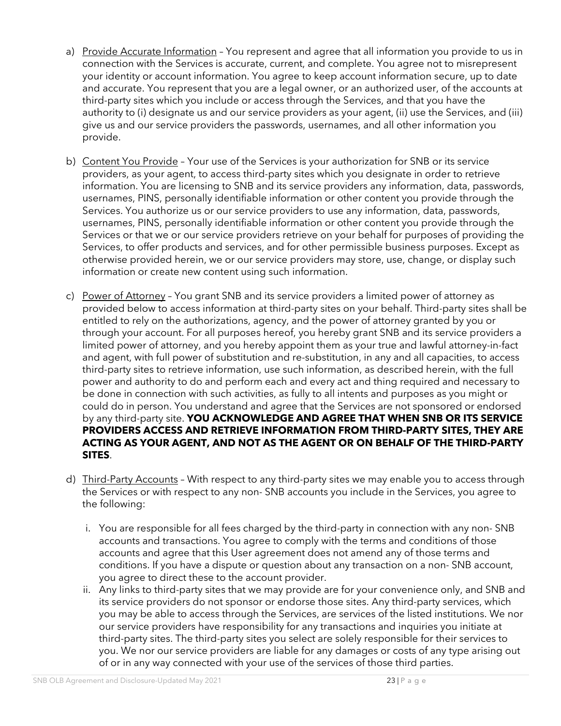- a) Provide Accurate Information You represent and agree that all information you provide to us in connection with the Services is accurate, current, and complete. You agree not to misrepresent your identity or account information. You agree to keep account information secure, up to date and accurate. You represent that you are a legal owner, or an authorized user, of the accounts at third-party sites which you include or access through the Services, and that you have the authority to (i) designate us and our service providers as your agent, (ii) use the Services, and (iii) give us and our service providers the passwords, usernames, and all other information you provide.
- b) Content You Provide Your use of the Services is your authorization for SNB or its service providers, as your agent, to access third-party sites which you designate in order to retrieve information. You are licensing to SNB and its service providers any information, data, passwords, usernames, PINS, personally identifiable information or other content you provide through the Services. You authorize us or our service providers to use any information, data, passwords, usernames, PINS, personally identifiable information or other content you provide through the Services or that we or our service providers retrieve on your behalf for purposes of providing the Services, to offer products and services, and for other permissible business purposes. Except as otherwise provided herein, we or our service providers may store, use, change, or display such information or create new content using such information.
- c) Power of Attorney You grant SNB and its service providers a limited power of attorney as provided below to access information at third-party sites on your behalf. Third-party sites shall be entitled to rely on the authorizations, agency, and the power of attorney granted by you or through your account. For all purposes hereof, you hereby grant SNB and its service providers a limited power of attorney, and you hereby appoint them as your true and lawful attorney-in-fact and agent, with full power of substitution and re-substitution, in any and all capacities, to access third-party sites to retrieve information, use such information, as described herein, with the full power and authority to do and perform each and every act and thing required and necessary to be done in connection with such activities, as fully to all intents and purposes as you might or could do in person. You understand and agree that the Services are not sponsored or endorsed by any third-party site. **YOU ACKNOWLEDGE AND AGREE THAT WHEN SNB OR ITS SERVICE PROVIDERS ACCESS AND RETRIEVE INFORMATION FROM THIRD-PARTY SITES, THEY ARE ACTING AS YOUR AGENT, AND NOT AS THE AGENT OR ON BEHALF OF THE THIRD-PARTY SITES**.
- d) Third-Party Accounts With respect to any third-party sites we may enable you to access through the Services or with respect to any non- SNB accounts you include in the Services, you agree to the following:
	- i. You are responsible for all fees charged by the third-party in connection with any non- SNB accounts and transactions. You agree to comply with the terms and conditions of those accounts and agree that this User agreement does not amend any of those terms and conditions. If you have a dispute or question about any transaction on a non- SNB account, you agree to direct these to the account provider.
	- ii. Any links to third-party sites that we may provide are for your convenience only, and SNB and its service providers do not sponsor or endorse those sites. Any third-party services, which you may be able to access through the Services, are services of the listed institutions. We nor our service providers have responsibility for any transactions and inquiries you initiate at third-party sites. The third-party sites you select are solely responsible for their services to you. We nor our service providers are liable for any damages or costs of any type arising out of or in any way connected with your use of the services of those third parties.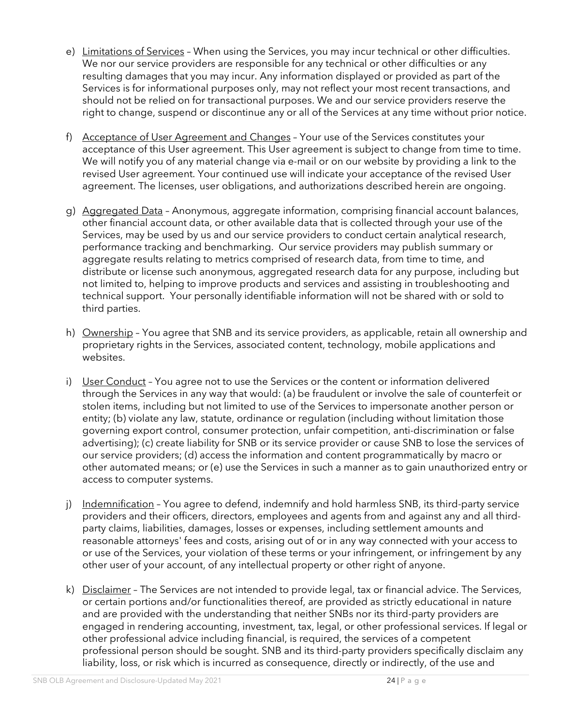- e) Limitations of Services When using the Services, you may incur technical or other difficulties. We nor our service providers are responsible for any technical or other difficulties or any resulting damages that you may incur. Any information displayed or provided as part of the Services is for informational purposes only, may not reflect your most recent transactions, and should not be relied on for transactional purposes. We and our service providers reserve the right to change, suspend or discontinue any or all of the Services at any time without prior notice.
- f) Acceptance of User Agreement and Changes Your use of the Services constitutes your acceptance of this User agreement. This User agreement is subject to change from time to time. We will notify you of any material change via e-mail or on our website by providing a link to the revised User agreement. Your continued use will indicate your acceptance of the revised User agreement. The licenses, user obligations, and authorizations described herein are ongoing.
- g) Aggregated Data Anonymous, aggregate information, comprising financial account balances, other financial account data, or other available data that is collected through your use of the Services, may be used by us and our service providers to conduct certain analytical research, performance tracking and benchmarking. Our service providers may publish summary or aggregate results relating to metrics comprised of research data, from time to time, and distribute or license such anonymous, aggregated research data for any purpose, including but not limited to, helping to improve products and services and assisting in troubleshooting and technical support. Your personally identifiable information will not be shared with or sold to third parties.
- h) Ownership You agree that SNB and its service providers, as applicable, retain all ownership and proprietary rights in the Services, associated content, technology, mobile applications and websites.
- i) User Conduct You agree not to use the Services or the content or information delivered through the Services in any way that would: (a) be fraudulent or involve the sale of counterfeit or stolen items, including but not limited to use of the Services to impersonate another person or entity; (b) violate any law, statute, ordinance or regulation (including without limitation those governing export control, consumer protection, unfair competition, anti-discrimination or false advertising); (c) create liability for SNB or its service provider or cause SNB to lose the services of our service providers; (d) access the information and content programmatically by macro or other automated means; or (e) use the Services in such a manner as to gain unauthorized entry or access to computer systems.
- j) Indemnification You agree to defend, indemnify and hold harmless SNB, its third-party service providers and their officers, directors, employees and agents from and against any and all thirdparty claims, liabilities, damages, losses or expenses, including settlement amounts and reasonable attorneys' fees and costs, arising out of or in any way connected with your access to or use of the Services, your violation of these terms or your infringement, or infringement by any other user of your account, of any intellectual property or other right of anyone.
- k) Disclaimer The Services are not intended to provide legal, tax or financial advice. The Services, or certain portions and/or functionalities thereof, are provided as strictly educational in nature and are provided with the understanding that neither SNBs nor its third-party providers are engaged in rendering accounting, investment, tax, legal, or other professional services. If legal or other professional advice including financial, is required, the services of a competent professional person should be sought. SNB and its third-party providers specifically disclaim any liability, loss, or risk which is incurred as consequence, directly or indirectly, of the use and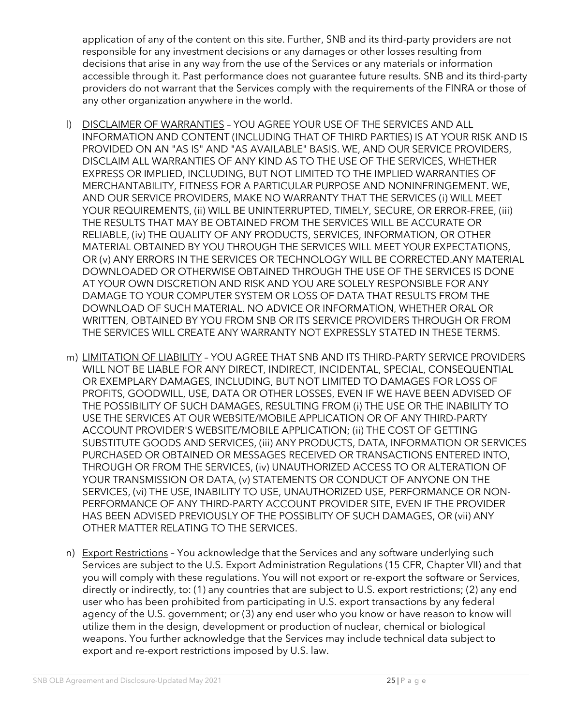application of any of the content on this site. Further, SNB and its third-party providers are not responsible for any investment decisions or any damages or other losses resulting from decisions that arise in any way from the use of the Services or any materials or information accessible through it. Past performance does not guarantee future results. SNB and its third-party providers do not warrant that the Services comply with the requirements of the FINRA or those of any other organization anywhere in the world.

- l) DISCLAIMER OF WARRANTIES YOU AGREE YOUR USE OF THE SERVICES AND ALL INFORMATION AND CONTENT (INCLUDING THAT OF THIRD PARTIES) IS AT YOUR RISK AND IS PROVIDED ON AN "AS IS" AND "AS AVAILABLE" BASIS. WE, AND OUR SERVICE PROVIDERS, DISCLAIM ALL WARRANTIES OF ANY KIND AS TO THE USE OF THE SERVICES, WHETHER EXPRESS OR IMPLIED, INCLUDING, BUT NOT LIMITED TO THE IMPLIED WARRANTIES OF MERCHANTABILITY, FITNESS FOR A PARTICULAR PURPOSE AND NONINFRINGEMENT. WE, AND OUR SERVICE PROVIDERS, MAKE NO WARRANTY THAT THE SERVICES (i) WILL MEET YOUR REQUIREMENTS, (ii) WILL BE UNINTERRUPTED, TIMELY, SECURE, OR ERROR-FREE, (iii) THE RESULTS THAT MAY BE OBTAINED FROM THE SERVICES WILL BE ACCURATE OR RELIABLE, (iv) THE QUALITY OF ANY PRODUCTS, SERVICES, INFORMATION, OR OTHER MATERIAL OBTAINED BY YOU THROUGH THE SERVICES WILL MEET YOUR EXPECTATIONS, OR (v) ANY ERRORS IN THE SERVICES OR TECHNOLOGY WILL BE CORRECTED.ANY MATERIAL DOWNLOADED OR OTHERWISE OBTAINED THROUGH THE USE OF THE SERVICES IS DONE AT YOUR OWN DISCRETION AND RISK AND YOU ARE SOLELY RESPONSIBLE FOR ANY DAMAGE TO YOUR COMPUTER SYSTEM OR LOSS OF DATA THAT RESULTS FROM THE DOWNLOAD OF SUCH MATERIAL. NO ADVICE OR INFORMATION, WHETHER ORAL OR WRITTEN, OBTAINED BY YOU FROM SNB OR ITS SERVICE PROVIDERS THROUGH OR FROM THE SERVICES WILL CREATE ANY WARRANTY NOT EXPRESSLY STATED IN THESE TERMS.
- m) LIMITATION OF LIABILITY YOU AGREE THAT SNB AND ITS THIRD-PARTY SERVICE PROVIDERS WILL NOT BE LIABLE FOR ANY DIRECT, INDIRECT, INCIDENTAL, SPECIAL, CONSEQUENTIAL OR EXEMPLARY DAMAGES, INCLUDING, BUT NOT LIMITED TO DAMAGES FOR LOSS OF PROFITS, GOODWILL, USE, DATA OR OTHER LOSSES, EVEN IF WE HAVE BEEN ADVISED OF THE POSSIBILITY OF SUCH DAMAGES, RESULTING FROM (i) THE USE OR THE INABILITY TO USE THE SERVICES AT OUR WEBSITE/MOBILE APPLICATION OR OF ANY THIRD-PARTY ACCOUNT PROVIDER'S WEBSITE/MOBILE APPLICATION; (ii) THE COST OF GETTING SUBSTITUTE GOODS AND SERVICES, (iii) ANY PRODUCTS, DATA, INFORMATION OR SERVICES PURCHASED OR OBTAINED OR MESSAGES RECEIVED OR TRANSACTIONS ENTERED INTO, THROUGH OR FROM THE SERVICES, (iv) UNAUTHORIZED ACCESS TO OR ALTERATION OF YOUR TRANSMISSION OR DATA, (v) STATEMENTS OR CONDUCT OF ANYONE ON THE SERVICES, (vi) THE USE, INABILITY TO USE, UNAUTHORIZED USE, PERFORMANCE OR NON-PERFORMANCE OF ANY THIRD-PARTY ACCOUNT PROVIDER SITE, EVEN IF THE PROVIDER HAS BEEN ADVISED PREVIOUSLY OF THE POSSIBLITY OF SUCH DAMAGES, OR (vii) ANY OTHER MATTER RELATING TO THE SERVICES.
- n) Export Restrictions You acknowledge that the Services and any software underlying such Services are subject to the U.S. Export Administration Regulations (15 CFR, Chapter VII) and that you will comply with these regulations. You will not export or re-export the software or Services, directly or indirectly, to: (1) any countries that are subject to U.S. export restrictions; (2) any end user who has been prohibited from participating in U.S. export transactions by any federal agency of the U.S. government; or (3) any end user who you know or have reason to know will utilize them in the design, development or production of nuclear, chemical or biological weapons. You further acknowledge that the Services may include technical data subject to export and re-export restrictions imposed by U.S. law.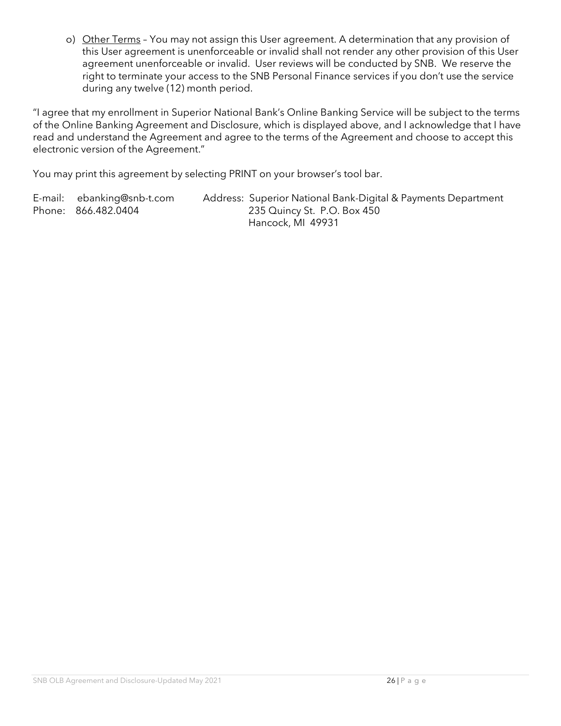o) Other Terms – You may not assign this User agreement. A determination that any provision of this User agreement is unenforceable or invalid shall not render any other provision of this User agreement unenforceable or invalid. User reviews will be conducted by SNB. We reserve the right to terminate your access to the SNB Personal Finance services if you don't use the service during any twelve (12) month period.

"I agree that my enrollment in Superior National Bank's Online Banking Service will be subject to the terms of the Online Banking Agreement and Disclosure, which is displayed above, and I acknowledge that I have read and understand the Agreement and agree to the terms of the Agreement and choose to accept this electronic version of the Agreement."

You may print this agreement by selecting PRINT on your browser's tool bar.

E-mail: ebanking@snb-t.com Address: Superior National Bank-Digital & Payments Department Phone: 866.482.0404 235 Quincy St. P.O. Box 450 Hancock, MI 49931